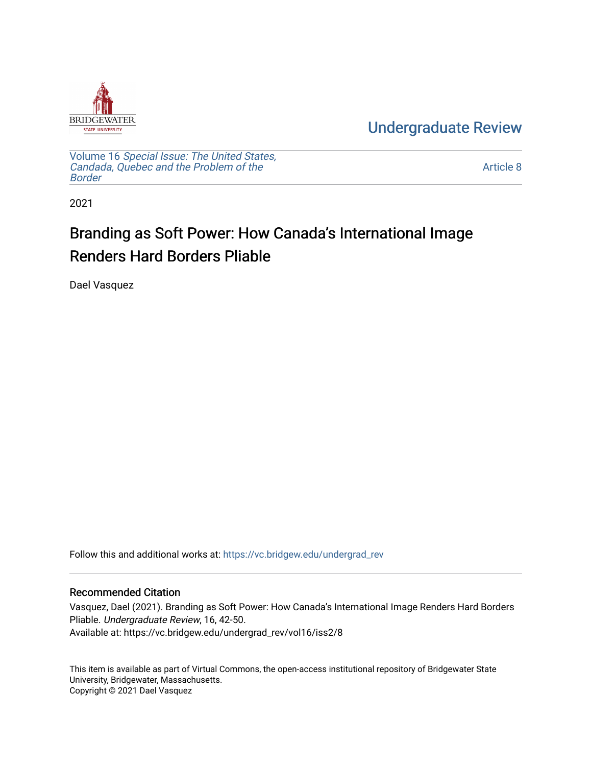

[Undergraduate Review](https://vc.bridgew.edu/undergrad_rev) 

Volume 16 [Special Issue: The United States,](https://vc.bridgew.edu/undergrad_rev/vol16)  [Candada, Quebec and the Problem of the](https://vc.bridgew.edu/undergrad_rev/vol16)  [Border](https://vc.bridgew.edu/undergrad_rev/vol16)

[Article 8](https://vc.bridgew.edu/undergrad_rev/vol16/iss2/8) 

2021

## Branding as Soft Power: How Canada's International Image Renders Hard Borders Pliable

Dael Vasquez

Follow this and additional works at: [https://vc.bridgew.edu/undergrad\\_rev](https://vc.bridgew.edu/undergrad_rev?utm_source=vc.bridgew.edu%2Fundergrad_rev%2Fvol16%2Fiss2%2F8&utm_medium=PDF&utm_campaign=PDFCoverPages)

### Recommended Citation

Vasquez, Dael (2021). Branding as Soft Power: How Canada's International Image Renders Hard Borders Pliable. Undergraduate Review, 16, 42-50. Available at: https://vc.bridgew.edu/undergrad\_rev/vol16/iss2/8

This item is available as part of Virtual Commons, the open-access institutional repository of Bridgewater State University, Bridgewater, Massachusetts. Copyright © 2021 Dael Vasquez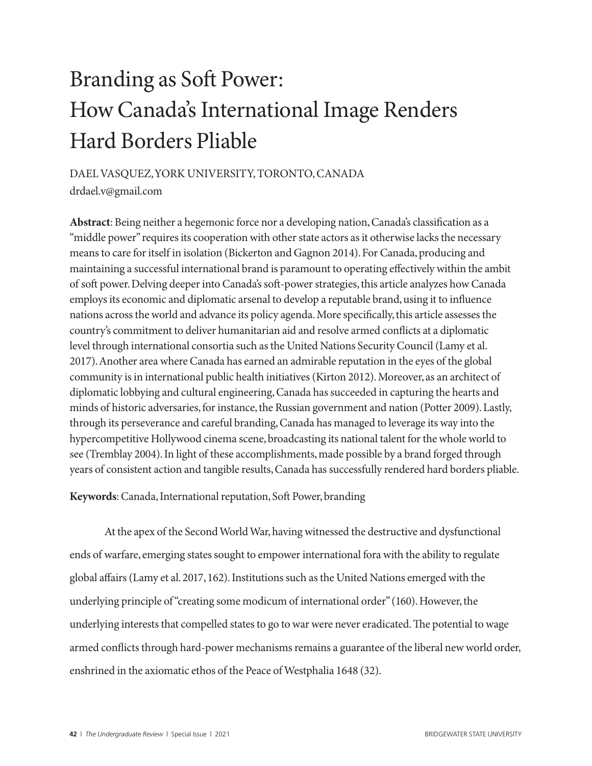# Branding as Soft Power: How Canada's International Image Renders Hard Borders Pliable

## DAEL VASQUEZ, YORK UNIVERSITY, TORONTO, CANADA

drdael.v@gmail.com

**Abstract**: Being neither a hegemonic force nor a developing nation, Canada's classification as a "middle power" requires its cooperation with other state actors as it otherwise lacks the necessary means to care for itself in isolation (Bickerton and Gagnon 2014). For Canada, producing and maintaining a successful international brand is paramount to operating effectively within the ambit of soft power. Delving deeper into Canada's soft-power strategies, this article analyzes how Canada employs its economic and diplomatic arsenal to develop a reputable brand, using it to influence nations across the world and advance its policy agenda. More specifically, this article assesses the country's commitment to deliver humanitarian aid and resolve armed conflicts at a diplomatic level through international consortia such as the United Nations Security Council (Lamy et al. 2017). Another area where Canada has earned an admirable reputation in the eyes of the global community is in international public health initiatives (Kirton 2012). Moreover, as an architect of diplomatic lobbying and cultural engineering, Canada has succeeded in capturing the hearts and minds of historic adversaries, for instance, the Russian government and nation (Potter 2009). Lastly, through its perseverance and careful branding, Canada has managed to leverage its way into the hypercompetitive Hollywood cinema scene, broadcasting its national talent for the whole world to see (Tremblay 2004). In light of these accomplishments, made possible by a brand forged through years of consistent action and tangible results, Canada has successfully rendered hard borders pliable.

**Keywords**: Canada, International reputation, Soft Power, branding

At the apex of the Second World War, having witnessed the destructive and dysfunctional ends of warfare, emerging states sought to empower international fora with the ability to regulate global affairs (Lamy et al. 2017, 162). Institutions such as the United Nations emerged with the underlying principle of "creating some modicum of international order" (160). However, the underlying interests that compelled states to go to war were never eradicated. The potential to wage armed conflicts through hard-power mechanisms remains a guarantee of the liberal new world order, enshrined in the axiomatic ethos of the Peace of Westphalia 1648 (32).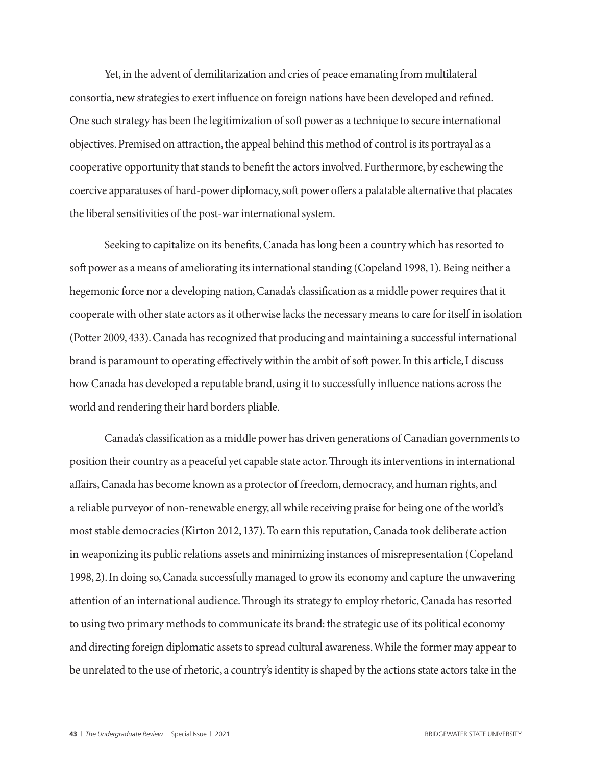Yet, in the advent of demilitarization and cries of peace emanating from multilateral consortia, new strategies to exert influence on foreign nations have been developed and refined. One such strategy has been the legitimization of soft power as a technique to secure international objectives. Premised on attraction, the appeal behind this method of control is its portrayal as a cooperative opportunity that stands to benefit the actors involved. Furthermore, by eschewing the coercive apparatuses of hard-power diplomacy, soft power offers a palatable alternative that placates the liberal sensitivities of the post-war international system.

Seeking to capitalize on its benefits, Canada has long been a country which has resorted to soft power as a means of ameliorating its international standing (Copeland 1998, 1). Being neither a hegemonic force nor a developing nation, Canada's classification as a middle power requires that it cooperate with other state actors as it otherwise lacks the necessary means to care for itself in isolation (Potter 2009, 433). Canada has recognized that producing and maintaining a successful international brand is paramount to operating effectively within the ambit of soft power. In this article, I discuss how Canada has developed a reputable brand, using it to successfully influence nations across the world and rendering their hard borders pliable.

Canada's classification as a middle power has driven generations of Canadian governments to position their country as a peaceful yet capable state actor. Through its interventions in international affairs, Canada has become known as a protector of freedom, democracy, and human rights, and a reliable purveyor of non-renewable energy, all while receiving praise for being one of the world's most stable democracies (Kirton 2012, 137). To earn this reputation, Canada took deliberate action in weaponizing its public relations assets and minimizing instances of misrepresentation (Copeland 1998, 2). In doing so, Canada successfully managed to grow its economy and capture the unwavering attention of an international audience. Through its strategy to employ rhetoric, Canada has resorted to using two primary methods to communicate its brand: the strategic use of its political economy and directing foreign diplomatic assets to spread cultural awareness. While the former may appear to be unrelated to the use of rhetoric, a country's identity is shaped by the actions state actors take in the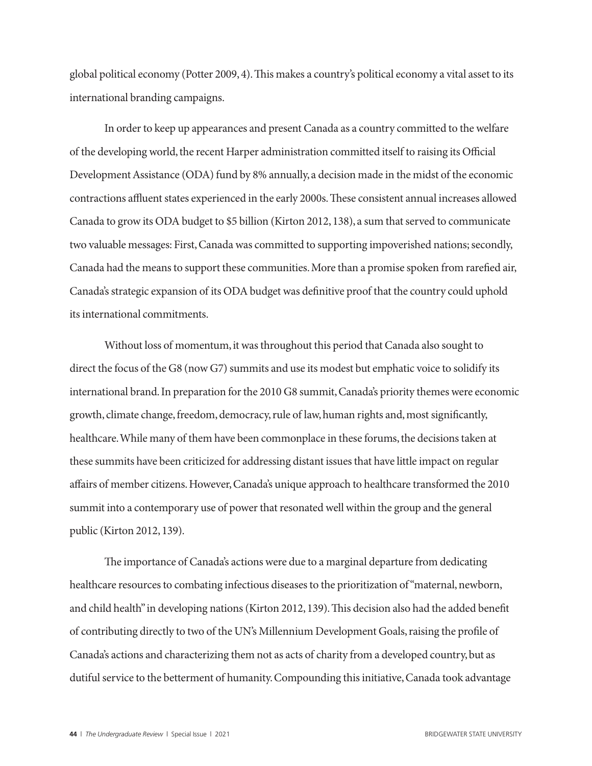global political economy (Potter 2009, 4). This makes a country's political economy a vital asset to its international branding campaigns.

In order to keep up appearances and present Canada as a country committed to the welfare of the developing world, the recent Harper administration committed itself to raising its Official Development Assistance (ODA) fund by 8% annually, a decision made in the midst of the economic contractions affluent states experienced in the early 2000s. These consistent annual increases allowed Canada to grow its ODA budget to \$5 billion (Kirton 2012, 138), a sum that served to communicate two valuable messages: First, Canada was committed to supporting impoverished nations; secondly, Canada had the means to support these communities. More than a promise spoken from rarefied air, Canada's strategic expansion of its ODA budget was definitive proof that the country could uphold its international commitments.

Without loss of momentum, it was throughout this period that Canada also sought to direct the focus of the G8 (now G7) summits and use its modest but emphatic voice to solidify its international brand. In preparation for the 2010 G8 summit, Canada's priority themes were economic growth, climate change, freedom, democracy, rule of law, human rights and, most significantly, healthcare. While many of them have been commonplace in these forums, the decisions taken at these summits have been criticized for addressing distant issues that have little impact on regular affairs of member citizens. However, Canada's unique approach to healthcare transformed the 2010 summit into a contemporary use of power that resonated well within the group and the general public (Kirton 2012, 139).

The importance of Canada's actions were due to a marginal departure from dedicating healthcare resources to combating infectious diseases to the prioritization of "maternal, newborn, and child health" in developing nations (Kirton 2012, 139). This decision also had the added benefit of contributing directly to two of the UN's Millennium Development Goals, raising the profile of Canada's actions and characterizing them not as acts of charity from a developed country, but as dutiful service to the betterment of humanity. Compounding this initiative, Canada took advantage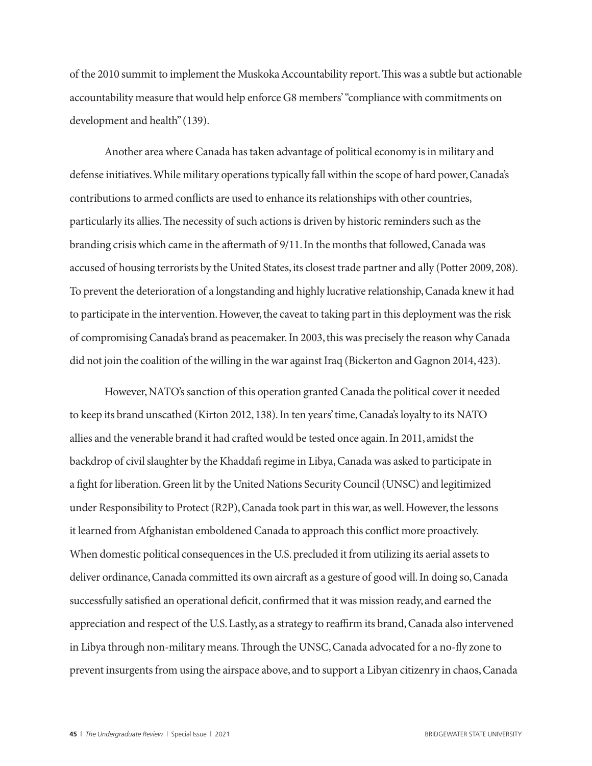of the 2010 summit to implement the Muskoka Accountability report. This was a subtle but actionable accountability measure that would help enforce G8 members' "compliance with commitments on development and health" (139).

Another area where Canada has taken advantage of political economy is in military and defense initiatives. While military operations typically fall within the scope of hard power, Canada's contributions to armed conflicts are used to enhance its relationships with other countries, particularly its allies. The necessity of such actions is driven by historic reminders such as the branding crisis which came in the aftermath of 9/11. In the months that followed, Canada was accused of housing terrorists by the United States, its closest trade partner and ally (Potter 2009, 208). To prevent the deterioration of a longstanding and highly lucrative relationship, Canada knew it had to participate in the intervention. However, the caveat to taking part in this deployment was the risk of compromising Canada's brand as peacemaker. In 2003, this was precisely the reason why Canada did not join the coalition of the willing in the war against Iraq (Bickerton and Gagnon 2014, 423).

However, NATO's sanction of this operation granted Canada the political cover it needed to keep its brand unscathed (Kirton 2012, 138). In ten years' time, Canada's loyalty to its NATO allies and the venerable brand it had crafted would be tested once again. In 2011, amidst the backdrop of civil slaughter by the Khaddafi regime in Libya, Canada was asked to participate in a fight for liberation. Green lit by the United Nations Security Council (UNSC) and legitimized under Responsibility to Protect (R2P), Canada took part in this war, as well. However, the lessons it learned from Afghanistan emboldened Canada to approach this conflict more proactively. When domestic political consequences in the U.S. precluded it from utilizing its aerial assets to deliver ordinance, Canada committed its own aircraft as a gesture of good will. In doing so, Canada successfully satisfied an operational deficit, confirmed that it was mission ready, and earned the appreciation and respect of the U.S. Lastly, as a strategy to reaffirm its brand, Canada also intervened in Libya through non-military means. Through the UNSC, Canada advocated for a no-fly zone to prevent insurgents from using the airspace above, and to support a Libyan citizenry in chaos, Canada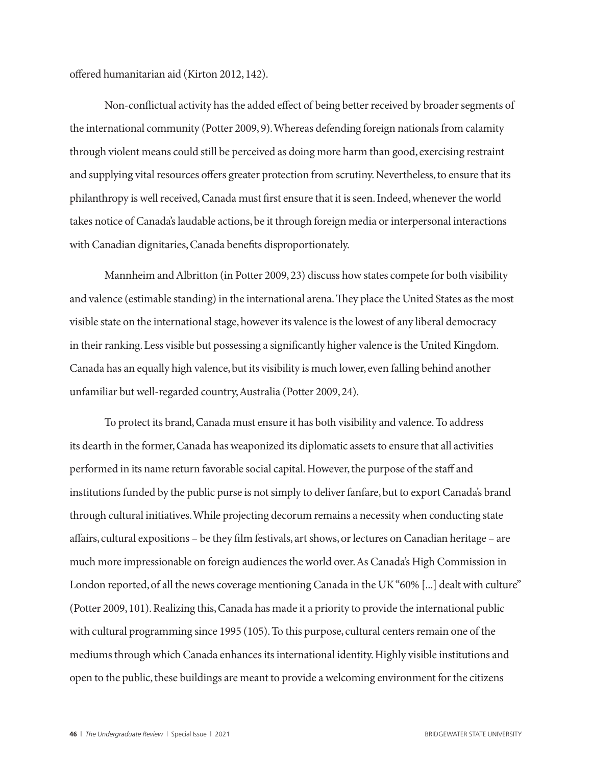offered humanitarian aid (Kirton 2012, 142).

Non-conflictual activity has the added effect of being better received by broader segments of the international community (Potter 2009, 9). Whereas defending foreign nationals from calamity through violent means could still be perceived as doing more harm than good, exercising restraint and supplying vital resources offers greater protection from scrutiny. Nevertheless, to ensure that its philanthropy is well received, Canada must first ensure that it is seen. Indeed, whenever the world takes notice of Canada's laudable actions, be it through foreign media or interpersonal interactions with Canadian dignitaries, Canada benefits disproportionately.

Mannheim and Albritton (in Potter 2009, 23) discuss how states compete for both visibility and valence (estimable standing) in the international arena. They place the United States as the most visible state on the international stage, however its valence is the lowest of any liberal democracy in their ranking. Less visible but possessing a significantly higher valence is the United Kingdom. Canada has an equally high valence, but its visibility is much lower, even falling behind another unfamiliar but well-regarded country, Australia (Potter 2009, 24).

To protect its brand, Canada must ensure it has both visibility and valence. To address its dearth in the former, Canada has weaponized its diplomatic assets to ensure that all activities performed in its name return favorable social capital. However, the purpose of the staff and institutions funded by the public purse is not simply to deliver fanfare, but to export Canada's brand through cultural initiatives. While projecting decorum remains a necessity when conducting state affairs, cultural expositions – be they film festivals, art shows, or lectures on Canadian heritage – are much more impressionable on foreign audiences the world over. As Canada's High Commission in London reported, of all the news coverage mentioning Canada in the UK "60% [...] dealt with culture" (Potter 2009, 101). Realizing this, Canada has made it a priority to provide the international public with cultural programming since 1995 (105). To this purpose, cultural centers remain one of the mediums through which Canada enhances its international identity. Highly visible institutions and open to the public, these buildings are meant to provide a welcoming environment for the citizens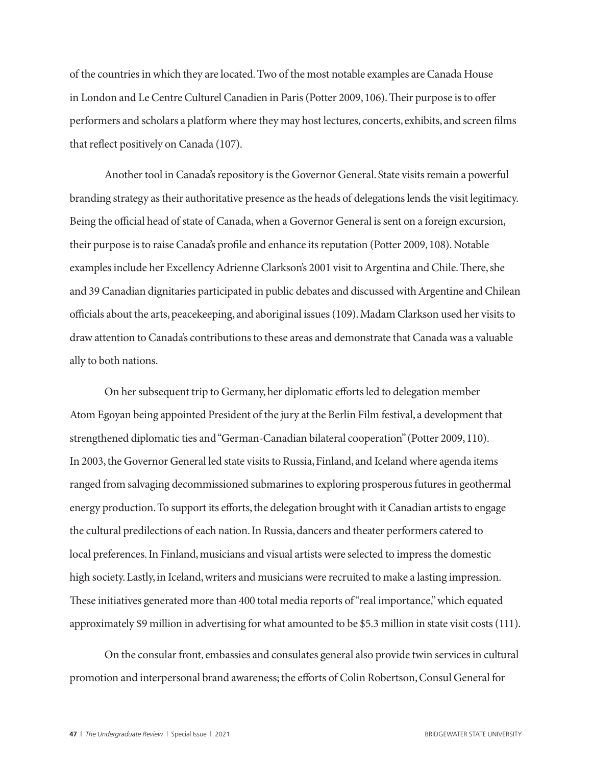of the countries in which they are located. Two of the most notable examples are Canada House in London and Le Centre Culturel Canadien in Paris (Potter 2009, 106). Their purpose is to offer performers and scholars a platform where they may host lectures, concerts, exhibits, and screen films that reflect positively on Canada (107).

Another tool in Canada's repository is the Governor General. State visits remain a powerful branding strategy as their authoritative presence as the heads of delegations lends the visit legitimacy. Being the official head of state of Canada, when a Governor General is sent on a foreign excursion, their purpose is to raise Canada's profile and enhance its reputation (Potter 2009, 108). Notable examples include her Excellency Adrienne Clarkson's 2001 visit to Argentina and Chile. There, she and 39 Canadian dignitaries participated in public debates and discussed with Argentine and Chilean officials about the arts, peacekeeping, and aboriginal issues (109). Madam Clarkson used her visits to draw attention to Canada's contributions to these areas and demonstrate that Canada was a valuable ally to both nations.

On her subsequent trip to Germany, her diplomatic efforts led to delegation member Atom Egoyan being appointed President of the jury at the Berlin Film festival, a development that strengthened diplomatic ties and "German-Canadian bilateral cooperation" (Potter 2009, 110). In 2003, the Governor General led state visits to Russia, Finland, and Iceland where agenda items ranged from salvaging decommissioned submarines to exploring prosperous futures in geothermal energy production. To support its efforts, the delegation brought with it Canadian artists to engage the cultural predilections of each nation. In Russia, dancers and theater performers catered to local preferences. In Finland, musicians and visual artists were selected to impress the domestic high society. Lastly, in Iceland, writers and musicians were recruited to make a lasting impression. These initiatives generated more than 400 total media reports of "real importance," which equated approximately \$9 million in advertising for what amounted to be \$5.3 million in state visit costs (111).

On the consular front, embassies and consulates general also provide twin services in cultural promotion and interpersonal brand awareness; the efforts of Colin Robertson, Consul General for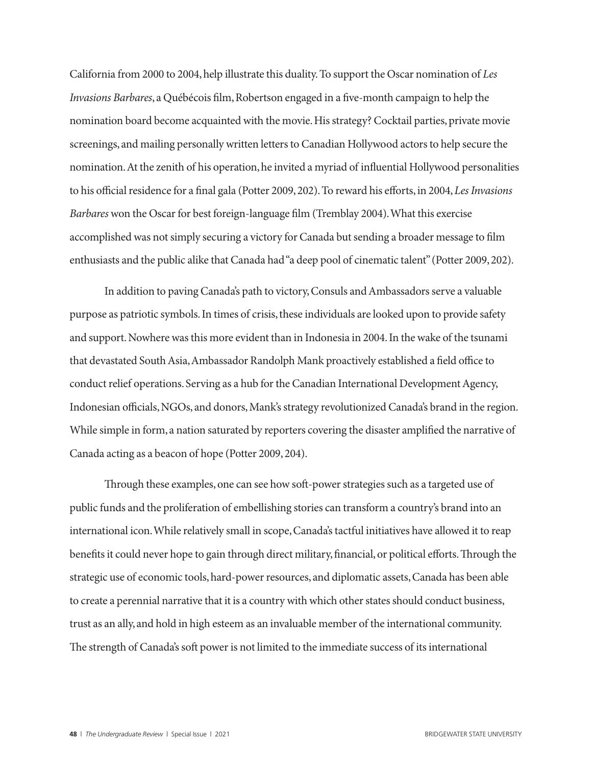California from 2000 to 2004, help illustrate this duality. To support the Oscar nomination of *Les Invasions Barbares*, a Québécois film, Robertson engaged in a five-month campaign to help the nomination board become acquainted with the movie. His strategy? Cocktail parties, private movie screenings, and mailing personally written letters to Canadian Hollywood actors to help secure the nomination. At the zenith of his operation, he invited a myriad of influential Hollywood personalities to his official residence for a final gala (Potter 2009, 202). To reward his efforts, in 2004, *Les Invasions Barbares* won the Oscar for best foreign-language film (Tremblay 2004). What this exercise accomplished was not simply securing a victory for Canada but sending a broader message to film enthusiasts and the public alike that Canada had "a deep pool of cinematic talent" (Potter 2009, 202).

In addition to paving Canada's path to victory, Consuls and Ambassadors serve a valuable purpose as patriotic symbols. In times of crisis, these individuals are looked upon to provide safety and support. Nowhere was this more evident than in Indonesia in 2004. In the wake of the tsunami that devastated South Asia, Ambassador Randolph Mank proactively established a field office to conduct relief operations. Serving as a hub for the Canadian International Development Agency, Indonesian officials, NGOs, and donors, Mank's strategy revolutionized Canada's brand in the region. While simple in form, a nation saturated by reporters covering the disaster amplified the narrative of Canada acting as a beacon of hope (Potter 2009, 204).

Through these examples, one can see how soft-power strategies such as a targeted use of public funds and the proliferation of embellishing stories can transform a country's brand into an international icon. While relatively small in scope, Canada's tactful initiatives have allowed it to reap benefits it could never hope to gain through direct military, financial, or political efforts. Through the strategic use of economic tools, hard-power resources, and diplomatic assets, Canada has been able to create a perennial narrative that it is a country with which other states should conduct business, trust as an ally, and hold in high esteem as an invaluable member of the international community. The strength of Canada's soft power is not limited to the immediate success of its international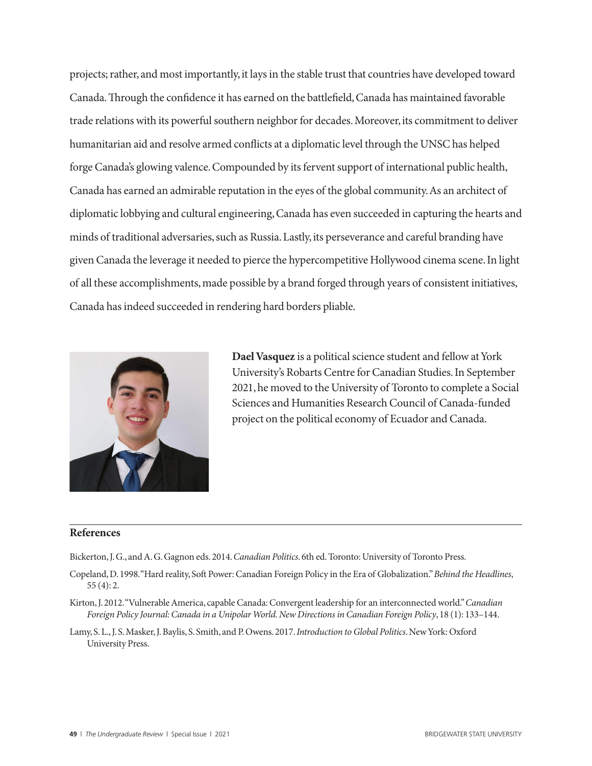projects; rather, and most importantly, it lays in the stable trust that countries have developed toward Canada. Through the confidence it has earned on the battlefield, Canada has maintained favorable trade relations with its powerful southern neighbor for decades. Moreover, its commitment to deliver humanitarian aid and resolve armed conflicts at a diplomatic level through the UNSC has helped forge Canada's glowing valence. Compounded by its fervent support of international public health, Canada has earned an admirable reputation in the eyes of the global community. As an architect of diplomatic lobbying and cultural engineering, Canada has even succeeded in capturing the hearts and minds of traditional adversaries, such as Russia. Lastly, its perseverance and careful branding have given Canada the leverage it needed to pierce the hypercompetitive Hollywood cinema scene. In light of all these accomplishments, made possible by a brand forged through years of consistent initiatives, Canada has indeed succeeded in rendering hard borders pliable.



**Dael Vasquez** is a political science student and fellow at York University's Robarts Centre for Canadian Studies. In September 2021, he moved to the University of Toronto to complete a Social Sciences and Humanities Research Council of Canada-funded project on the political economy of Ecuador and Canada.

#### **References**

Bickerton, J. G., and A. G. Gagnon eds. 2014. *Canadian Politics*. 6th ed. Toronto: University of Toronto Press.

- Copeland, D. 1998. "Hard reality, Soft Power: Canadian Foreign Policy in the Era of Globalization." *Behind the Headlines*, 55 (4): 2.
- Kirton, J. 2012. "Vulnerable America, capable Canada: Convergent leadership for an interconnected world." *Canadian Foreign Policy Journal: Canada in a Unipolar World. New Directions in Canadian Foreign Policy*, 18 (1): 133–144.
- Lamy, S. L., J. S. Masker, J. Baylis, S. Smith, and P. Owens. 2017. *Introduction to Global Politics*. New York: Oxford University Press.